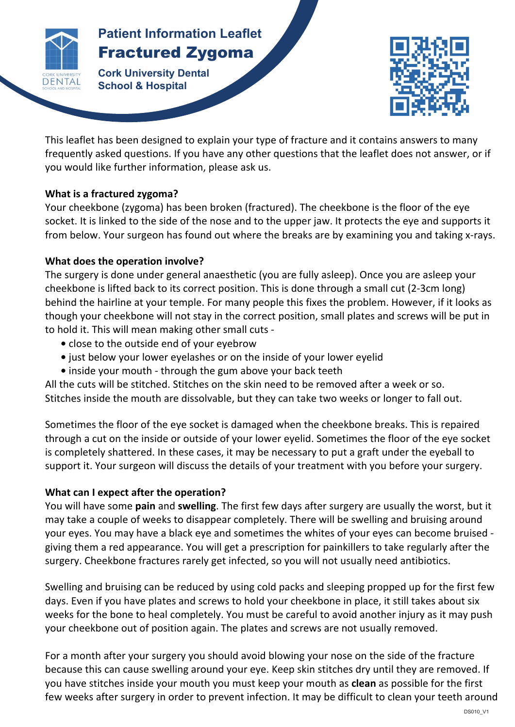

# **Patients Patient Information Leaflet** Fractured Zygoma

 $\mathbf{F}$ **Cork University Dental School & Hospital**



This leaflet has been designed to explain your type of fracture and it contains answers to many frequently asked questions. If you have any other questions that the leaflet does not answer, or if you would like further information, please ask us.

## **What is a fractured zygoma?**

Your cheekbone (zygoma) has been broken (fractured). The cheekbone is the floor of the eye socket. It is linked to the side of the nose and to the upper jaw. It protects the eye and supports it from below. Your surgeon has found out where the breaks are by examining you and taking x-rays.

# **What does the operation involve?**

The surgery is done under general anaesthetic (you are fully asleep). Once you are asleep your cheekbone is lifted back to its correct position. This is done through a small cut (2-3cm long) behind the hairline at your temple. For many people this fixes the problem. However, if it looks as though your cheekbone will not stay in the correct position, small plates and screws will be put in to hold it. This will mean making other small cuts -

- close to the outside end of your eyebrow
- just below your lower eyelashes or on the inside of your lower eyelid
- inside your mouth through the gum above your back teeth

All the cuts will be stitched. Stitches on the skin need to be removed after a week or so. Stitches inside the mouth are dissolvable, but they can take two weeks or longer to fall out.

Sometimes the floor of the eye socket is damaged when the cheekbone breaks. This is repaired through a cut on the inside or outside of your lower eyelid. Sometimes the floor of the eye socket is completely shattered. In these cases, it may be necessary to put a graft under the eyeball to support it. Your surgeon will discuss the details of your treatment with you before your surgery.

# What can I expect after the operation?

You will have some **pain** and **swelling**. The first few days after surgery are usually the worst, but it may take a couple of weeks to disappear completely. There will be swelling and bruising around your eyes. You may have a black eye and sometimes the whites of your eyes can become bruised giving them a red appearance. You will get a prescription for painkillers to take regularly after the surgery. Cheekbone fractures rarely get infected, so you will not usually need antibiotics.

Swelling and bruising can be reduced by using cold packs and sleeping propped up for the first few days. Even if you have plates and screws to hold your cheekbone in place, it still takes about six weeks for the bone to heal completely. You must be careful to avoid another injury as it may push your cheekbone out of position again. The plates and screws are not usually removed.

For a month after your surgery you should avoid blowing your nose on the side of the fracture because this can cause swelling around your eye. Keep skin stitches dry until they are removed. If you have stitches inside your mouth you must keep your mouth as **clean** as possible for the first few weeks after surgery in order to prevent infection. It may be difficult to clean your teeth around